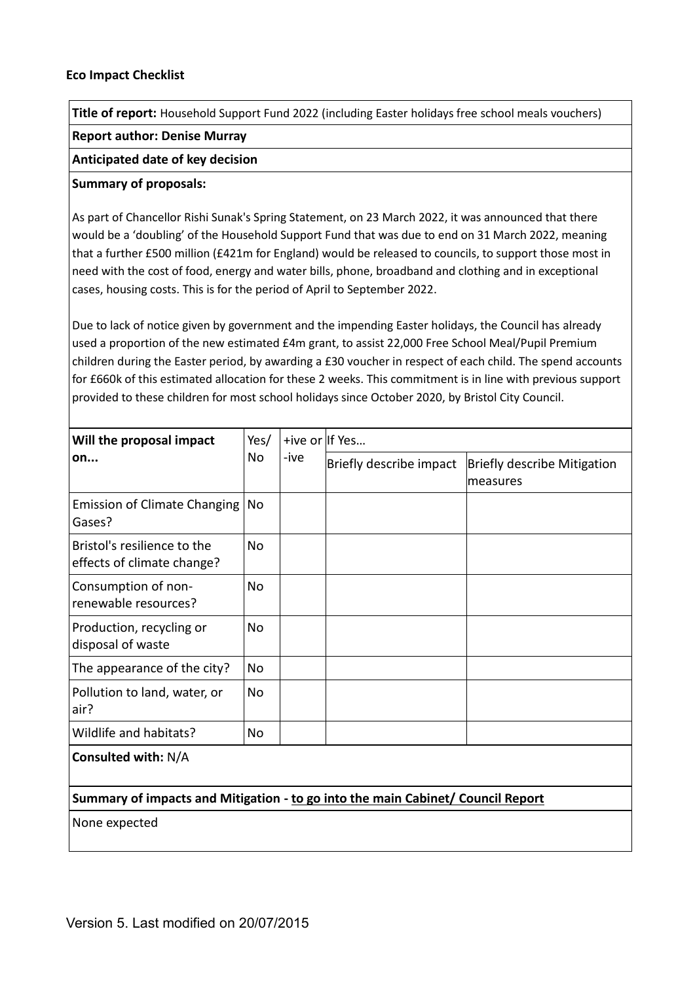**Title of report:** Household Support Fund 2022 (including Easter holidays free school meals vouchers)

## **Report author: Denise Murray**

## **Anticipated date of key decision**

## **Summary of proposals:**

As part of Chancellor Rishi Sunak's Spring Statement, on 23 March 2022, it was announced that there would be a 'doubling' of the Household Support Fund that was due to end on 31 March 2022, meaning that a further £500 million (£421m for England) would be released to councils, to support those most in need with the cost of food, energy and water bills, phone, broadband and clothing and in exceptional cases, housing costs. This is for the period of April to September 2022.

Due to lack of notice given by government and the impending Easter holidays, the Council has already used a proportion of the new estimated £4m grant, to assist 22,000 Free School Meal/Pupil Premium children during the Easter period, by awarding a £30 voucher in respect of each child. The spend accounts for £660k of this estimated allocation for these 2 weeks. This commitment is in line with previous support provided to these children for most school holidays since October 2020, by Bristol City Council.

| Will the proposal impact<br>on                                                  | Yes/<br>No | -ive | +ive or If Yes          |                                                |  |
|---------------------------------------------------------------------------------|------------|------|-------------------------|------------------------------------------------|--|
|                                                                                 |            |      | Briefly describe impact | <b>Briefly describe Mitigation</b><br>measures |  |
| <b>Emission of Climate Changing</b><br>Gases?                                   | No         |      |                         |                                                |  |
| Bristol's resilience to the<br>effects of climate change?                       | Nο         |      |                         |                                                |  |
| Consumption of non-<br>renewable resources?                                     | No         |      |                         |                                                |  |
| Production, recycling or<br>disposal of waste                                   | Nο         |      |                         |                                                |  |
| The appearance of the city?                                                     | No         |      |                         |                                                |  |
| Pollution to land, water, or<br>air?                                            | Nο         |      |                         |                                                |  |
| Wildlife and habitats?                                                          | No         |      |                         |                                                |  |
| Consulted with: N/A                                                             |            |      |                         |                                                |  |
| Summary of impacts and Mitigation - to go into the main Cabinet/ Council Report |            |      |                         |                                                |  |
| None expected                                                                   |            |      |                         |                                                |  |